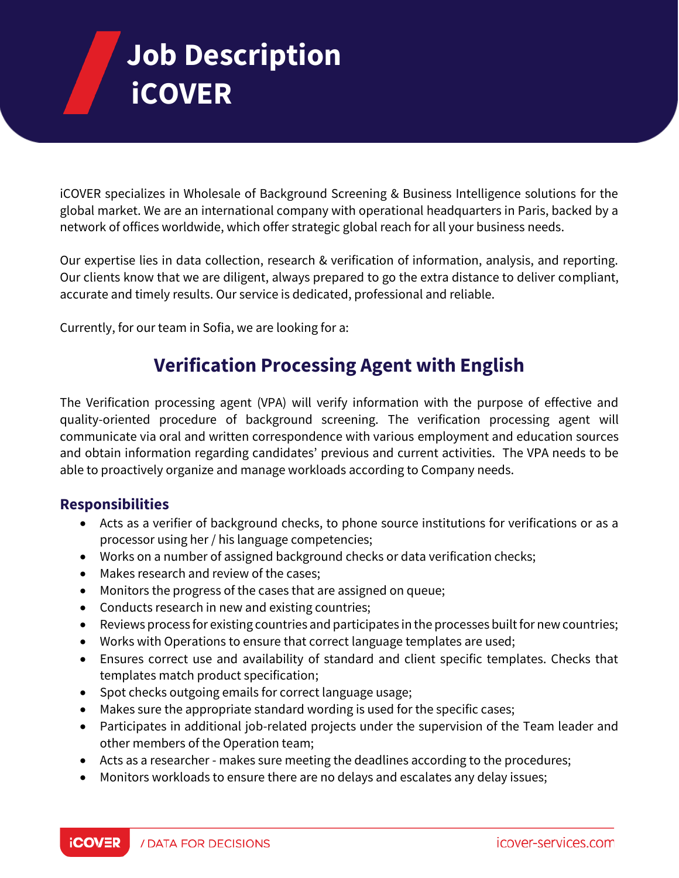# **Job Description iCOVER**

iCOVER specializes in Wholesale of Background Screening & Business Intelligence solutions for the global market. We are an international company with operational headquarters in Paris, backed by a network of offices worldwide, which offer strategic global reach for all your business needs.

Our expertise lies in data collection, research & verification of information, analysis, and reporting. Our clients know that we are diligent, always prepared to go the extra distance to deliver compliant, accurate and timely results. Our service is dedicated, professional and reliable.

Currently, for our team in Sofia, we are looking for a:

# **Verification Processing Agent with English**

The Verification processing agent (VPA) will verify information with the purpose of effective and quality-oriented procedure of background screening. The verification processing agent will communicate via oral and written correspondence with various employment and education sources and obtain information regarding candidates' previous and current activities. The VPA needs to be able to proactively organize and manage workloads according to Company needs.

## **Responsibilities**

- Acts as a verifier of background checks, to phone source institutions for verifications or as a processor using her / his language competencies;
- Works on a number of assigned background checks or data verification checks;
- Makes research and review of the cases;
- Monitors the progress of the cases that are assigned on queue;
- Conducts research in new and existing countries;
- Reviews process for existing countries and participates in the processes built for new countries;
- Works with Operations to ensure that correct language templates are used;
- Ensures correct use and availability of standard and client specific templates. Checks that templates match product specification;
- Spot checks outgoing emails for correct language usage;
- Makes sure the appropriate standard wording is used for the specific cases;
- Participates in additional job-related projects under the supervision of the Team leader and other members of the Operation team;
- Acts as a researcher makes sure meeting the deadlines according to the procedures;
- Monitors workloads to ensure there are no delays and escalates any delay issues;